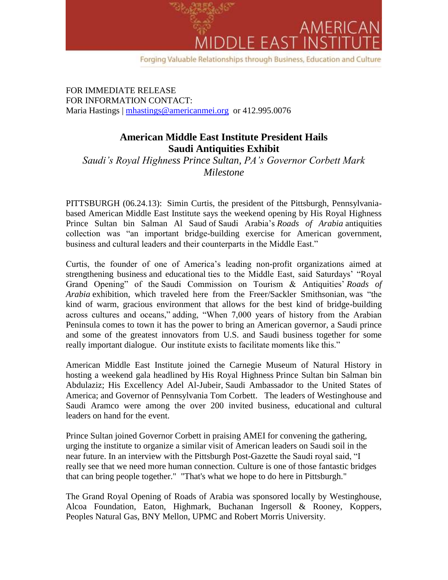

FOR IMMEDIATE RELEASE FOR INFORMATION CONTACT: Maria Hastings | [mhastings@americanmei.org](mailto:mhastings@americanmei.org) or 412.995.0076

## **American Middle East Institute President Hails Saudi Antiquities Exhibit**

*Saudi's Royal Highness Prince Sultan, PA's Governor Corbett Mark Milestone*

PITTSBURGH (06.24.13): Simin Curtis, the president of the Pittsburgh, Pennsylvaniabased American Middle East Institute says the weekend opening by His Royal Highness Prince Sultan bin Salman Al Saud of Saudi Arabia's *Roads of Arabia* antiquities collection was "an important bridge-building exercise for American government, business and cultural leaders and their counterparts in the Middle East."

Curtis, the founder of one of America's leading non-profit organizations aimed at strengthening business and educational ties to the Middle East, said Saturdays' "Royal Grand Opening" of the Saudi Commission on Tourism & Antiquities' *Roads of Arabia* exhibition, which traveled here from the Freer/Sackler Smithsonian, was "the kind of warm, gracious environment that allows for the best kind of bridge-building across cultures and oceans," adding, "When 7,000 years of history from the Arabian Peninsula comes to town it has the power to bring an American governor, a Saudi prince and some of the greatest innovators from U.S. and Saudi business together for some really important dialogue. Our institute exists to facilitate moments like this."

American Middle East Institute joined the Carnegie Museum of Natural History in hosting a weekend gala headlined by His Royal Highness Prince Sultan bin Salman bin Abdulaziz; His Excellency Adel Al-Jubeir, Saudi Ambassador to the United States of America; and Governor of Pennsylvania Tom Corbett. The leaders of Westinghouse and Saudi Aramco were among the over 200 invited business, educational and cultural leaders on hand for the event.

Prince Sultan joined Governor Corbett in praising AMEI for convening the gathering, urging the institute to organize a similar visit of American leaders on Saudi soil in the near future. In an interview with the Pittsburgh Post-Gazette the Saudi royal said, "I really see that we need more human connection. Culture is one of those fantastic bridges that can bring people together." "That's what we hope to do here in Pittsburgh."

The Grand Royal Opening of Roads of Arabia was sponsored locally by Westinghouse, Alcoa Foundation, Eaton, Highmark, Buchanan Ingersoll & Rooney, Koppers, Peoples Natural Gas, BNY Mellon, UPMC and Robert Morris University.